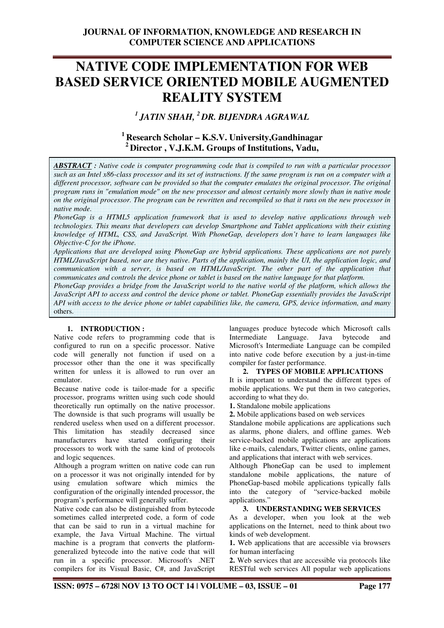# **NATIVE CODE IMPLEMENTATION FOR WEB BASED SERVICE ORIENTED MOBILE AUGMENTED REALITY SYSTEM**

## *<sup>1</sup>JATIN SHAH, <sup>2</sup>DR. BIJENDRA AGRAWAL*

# **<sup>1</sup>Research Scholar – K.S.V. University,Gandhinagar <sup>2</sup>Director , V.J.K.M. Groups of Institutions, Vadu,**

*ABSTRACT : Native code is computer programming code that is compiled to run with a particular processor such as an Intel x86-class processor and its set of instructions. If the same program is run on a computer with a different processor, software can be provided so that the computer emulates the original processor. The original program runs in "emulation mode" on the new processor and almost certainly more slowly than in native mode on the original processor. The program can be rewritten and recompiled so that it runs on the new processor in native mode.* 

*PhoneGap is a HTML5 application framework that is used to develop native applications through web technologies. This means that developers can develop Smartphone and Tablet applications with their existing knowledge of HTML, CSS, and JavaScript. With PhoneGap, developers don't have to learn languages like Objective-C for the iPhone.* 

*Applications that are developed using PhoneGap are hybrid applications. These applications are not purely HTML/JavaScript based, nor are they native. Parts of the application, mainly the UI, the application logic, and communication with a server, is based on HTML/JavaScript. The other part of the application that communicates and controls the device phone or tablet is based on the native language for that platform. PhoneGap provides a bridge from the JavaScript world to the native world of the platform, which allows the* 

*JavaScript API to access and control the device phone or tablet. PhoneGap essentially provides the JavaScript API with access to the device phone or tablet capabilities like, the camera, GPS, device information, and many* others.

## **1. INTRODUCTION :**

Native code refers to programming code that is configured to run on a specific processor. Native code will generally not function if used on a processor other than the one it was specifically written for unless it is allowed to run over an emulator.

Because native code is tailor-made for a specific processor, programs written using such code should theoretically run optimally on the native processor. The downside is that such programs will usually be rendered useless when used on a different processor. This limitation has steadily decreased since manufacturers have started configuring their processors to work with the same kind of protocols and logic sequences.

Although a program written on native code can run on a processor it was not originally intended for by using emulation software which mimics the configuration of the originally intended processor, the program's performance will generally suffer.

Native code can also be distinguished from bytecode sometimes called interpreted code, a form of code that can be said to run in a virtual machine for example, the Java Virtual Machine. The virtual machine is a program that converts the platformgeneralized bytecode into the native code that will run in a specific processor. Microsoft's .NET compilers for its Visual Basic, C#, and JavaScript

languages produce bytecode which Microsoft calls Intermediate Language. Java bytecode and Microsoft's Intermediate Language can be compiled into native code before execution by a just-in-time compiler for faster performance.

#### **2. TYPES OF MOBILE APPLICATIONS**

It is important to understand the different types of mobile applications. We put them in two categories, according to what they do.

**1.** Standalone mobile applications

**2.** Mobile applications based on web services

Standalone mobile applications are applications such as alarms, phone dialers, and offline games. Web service-backed mobile applications are applications like e-mails, calendars, Twitter clients, online games, and applications that interact with web services.

Although PhoneGap can be used to implement standalone mobile applications, the nature of PhoneGap-based mobile applications typically falls into the category of "service-backed mobile applications."

#### **3. UNDERSTANDING WEB SERVICES**

As a developer, when you look at the web applications on the Internet, need to think about two kinds of web development.

**1.** Web applications that are accessible via browsers for human interfacing

**2.** Web services that are accessible via protocols like RESTful web services All popular web applications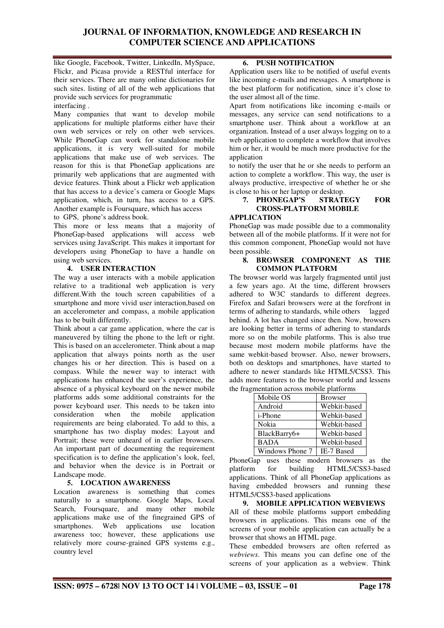## **JOURNAL OF INFORMATION, KNOWLEDGE AND RESEARCH IN COMPUTER SCIENCE AND APPLICATIONS**

like Google, Facebook, Twitter, LinkedIn, MySpace, Flickr, and Picasa provide a RESTful interface for their services. There are many online dictionaries for such sites. listing of all of the web applications that provide such services for programmatic interfacing .

Many companies that want to develop mobile applications for multiple platforms either have their own web services or rely on other web services. While PhoneGap can work for standalone mobile applications, it is very well-suited for mobile applications that make use of web services. The reason for this is that PhoneGap applications are primarily web applications that are augmented with device features. Think about a Flickr web application that has access to a device's camera or Google Maps application, which, in turn, has access to a GPS. Another example is Foursquare, which has access to GPS, phone's address book.

This more or less means that a majority of PhoneGap-based applications will access web services using JavaScript. This makes it important for developers using PhoneGap to have a handle on using web services.

#### **4. USER INTERACTION**

The way a user interacts with a mobile application relative to a traditional web application is very different.With the touch screen capabilities of a smartphone and more vivid user interaction,based on an accelerometer and compass, a mobile application has to be built differently.

Think about a car game application, where the car is maneuvered by tilting the phone to the left or right. This is based on an accelerometer. Think about a map application that always points north as the user changes his or her direction. This is based on a compass. While the newer way to interact with applications has enhanced the user's experience, the absence of a physical keyboard on the newer mobile platforms adds some additional constraints for the power keyboard user. This needs to be taken into consideration when the mobile application requirements are being elaborated. To add to this, a smartphone has two display modes: Layout and Portrait; these were unheard of in earlier browsers. An important part of documenting the requirement specification is to define the application's look, feel, and behavior when the device is in Portrait or Landscape mode.

## **5. LOCATION AWARENESS**

Location awareness is something that comes naturally to a smartphone. Google Maps, Local Search, Foursquare, and many other mobile applications make use of the finegrained GPS of smartphones. Web applications use location awareness too; however, these applications use relatively more course-grained GPS systems e.g., country level

## **6. PUSH NOTIFICATION**

Application users like to be notified of useful events like incoming e-mails and messages. A smartphone is the best platform for notification, since it's close to the user almost all of the time.

Apart from notifications like incoming e-mails or messages, any service can send notifications to a smartphone user. Think about a workflow at an organization. Instead of a user always logging on to a web application to complete a workflow that involves him or her, it would be much more productive for the application

to notify the user that he or she needs to perform an action to complete a workflow. This way, the user is always productive, irrespective of whether he or she is close to his or her laptop or desktop.<br>7. PHONEGAP'S STRATEGY

## **7. PHONEGAP'S STRATEGY FOR CROSS-PLATFORM MOBILE**

#### **APPLICATION**

PhoneGap was made possible due to a commonality between all of the mobile platforms. If it were not for this common component, PhoneGap would not have been possible.

#### **8. BROWSER COMPONENT AS THE COMMON PLATFORM**

The browser world was largely fragmented until just a few years ago. At the time, different browsers adhered to W3C standards to different degrees. Firefox and Safari browsers were at the forefront in terms of adhering to standards, while others lagged behind. A lot has changed since then. Now, browsers are looking better in terms of adhering to standards more so on the mobile platforms. This is also true because most modern mobile platforms have the same webkit-based browser. Also, newer browsers, both on desktops and smartphones, have started to adhere to newer standards like HTML5/CSS3. This adds more features to the browser world and lessens the fragmentation across mobile platforms

| Mobile OS       | <b>Browser</b> |
|-----------------|----------------|
| Android         | Webkit-based   |
| <i>i</i> -Phone | Webkit-based   |
| Nokia           | Webkit-based   |
| BlackBarry6+    | Webkit-based   |
| <b>BADA</b>     | Webkit-based   |
| Windows Phone 7 | IE-7 Based     |

PhoneGap uses these modern browsers as the platform for building HTML5/CSS3-based applications. Think of all PhoneGap applications as having embedded browsers and running these HTML5/CSS3-based applications

#### **9. MOBILE APPLICATION WEBVIEWS**  All of these mobile platforms support embedding browsers in applications. This means one of the screens of your mobile application can actually be a browser that shows an HTML page.

These embedded browsers are often referred as *webviews*. This means you can define one of the screens of your application as a webview. Think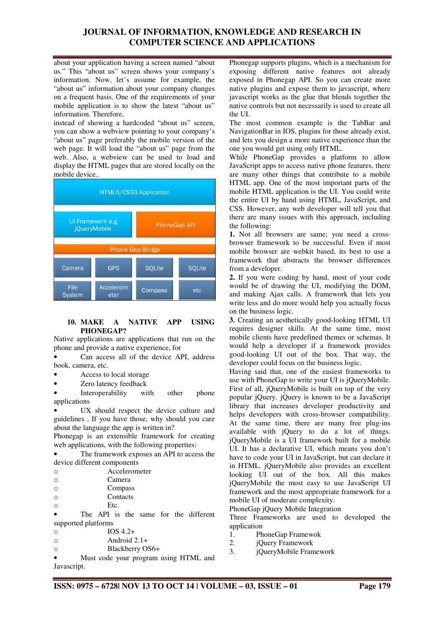## **JOURNAL OF INFORMATION, KNOWLEDGE AND RESEARCH IN COMPUTER SCIENCE AND APPLICATIONS**

about your application having a screen named "about us." This "about us" screen shows your company's information. Now, let's assume for example, the "about us" information about your company changes on a frequent basis. One of the requirements of your mobile application is to show the latest "about us" information. Therefore,

instead of showing a hardcoded "about us" screen, you can show a webview pointing to your company's "about us" page preferably the mobile version of the web page. It will load the "about us" page from the web. Also, a webview can be used to load and display the HTML pages that are stored locally on the mobile device..



#### **10. MAKE A NATIVE APP USING PHONEGAP?**

Native applications are applications that run on the phone and provide a native experience, for

Can access all of the device API, address book, camera, etc.

- Access to local storage
- Zero latency feedback

Interoperability with other phone applications

UX should respect the device culture and guidelines , If you have those, why should you care about the language the app is written in?

Phonegap is an extensible framework for creating web applications, with the following properties:

The framework exposes an API to access the device different components

| $\circ$ | Accelerometer |
|---------|---------------|
|         |               |

| $\Omega$ | Camera |
|----------|--------|
|          |        |

| Ω | Compass |
|---|---------|
|   |         |

- o Contacts
- o Etc.

• The API is the same for the different supported platforms

- $\overline{OS 4.2+}$
- o Android 2.1+

o Blackberry OS6+ • Must code your program using HTML and

Javascript.

Phonegap supports plugins, which is a mechanism for exposing different native features not already exposed in Phonegap API. So you can create more native plugins and expose them to javascript, where javascript works as the glue that blends together the native controls but not necessarily is used to create all the UI.

The most common example is the TabBar and NavigationBar in IOS, plugins for those already exist, and lets you design a more native experience than the one you would get using only HTML.

While PhoneGap provides a platform to allow JavaScript apps to access native phone features, there are many other things that contribute to a mobile HTML app. One of the most important parts of the mobile HTML application is the UI. You could write the entire UI by hand using HTML, JavaScript, and CSS. However, any web developer will tell you that there are many issues with this approach, including the following:

**1.** Not all browsers are same; you need a crossbrowser framework to be successful. Even if most mobile browser are webkit based, its best to use a framework that abstracts the browser differences from a developer.

**2.** If you were coding by hand, most of your code would be of drawing the UI, modifying the DOM, and making Ajax calls. A framework that lets you write less and do more would help you actually focus on the business logic.

**3.** Creating an aesthetically good-looking HTML UI requires designer skills. At the same time, most mobile clients have predefined themes or schemas. It would help a developer if a framework provides good-looking UI out of the box. That way, the developer could focus on the business logic.

Having said that, one of the easiest frameworks to use with PhoneGap to write your UI is jQueryMobile. First of all, jQueryMobile is built on top of the very popular jQuery. jQuery is known to be a JavaScript library that increases developer productivity and helps developers with cross-browser compatibility. At the same time, there are many free plug-ins available with jQuery to do a lot of things. jQueryMobile is a UI framework built for a mobile UI. It has a declarative UI, which means you don't have to code your UI in JavaScript, but can declare it in HTML. jQueryMobile also provides an excellent looking UI out of the box. All this makes jQueryMobile the most easy to use JavaScript UI framework and the most appropriate framework for a mobile UI of moderate complexity.

PhoneGap jQuery Mobile Integration

Three Frameworks are used to developed the application<br>1. Ph

- 1. PhoneGap Framewok<br>2. iOuerv Framework
- 2. jQuery Framework
- 3. jQueryMobile Framework